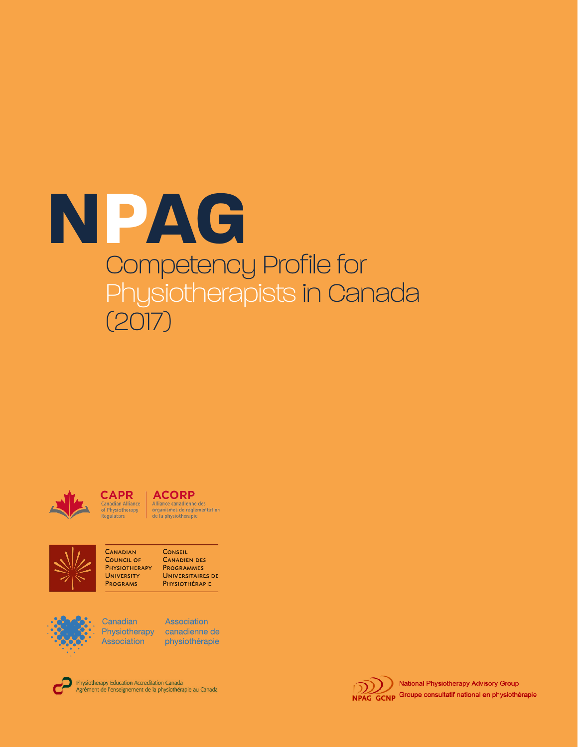



#### **CAPR ACORP Canadian Alliance**<br>of Physiotherapy<br>Regulators Alliance canadienne des<br>organismes de réglementation<br>de la physiothérapie



CANADIAN CONSEIL **COUNCIL OF CANADIEN DES PHYSIOTHERAPY** PROGRAMMES UNIVERSITY **UNIVERSITAIRES DE** PHYSIOTHÉRAPIE **PROGRAMS** 



Canadian **Association** 

Association Physiotherapy canadienne de physiothérapie



Physiotherapy Education Accreditation Canada Agrément de l'enseignement de la physiothérapie au Canada

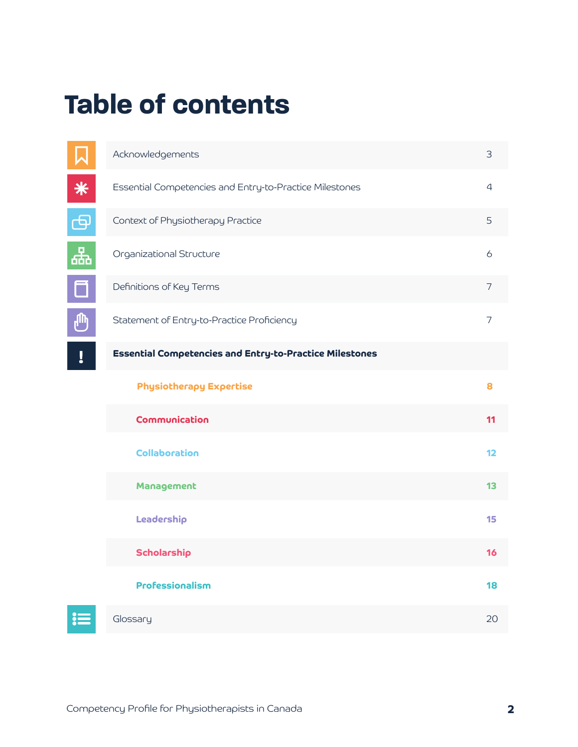## **Table of contents**

|        | Acknowledgements                                               | 3  |
|--------|----------------------------------------------------------------|----|
| $\ast$ | Essential Competencies and Entry-to-Practice Milestones        | 4  |
| ඏ      | Context of Physiotherapy Practice                              | 5  |
| Ҿ      | Organizational Structure                                       | 6  |
|        | Definitions of Key Terms                                       | 7  |
| ி      | Statement of Entry-to-Practice Proficiency                     | 7  |
| Į      | <b>Essential Competencies and Entry-to-Practice Milestones</b> |    |
|        | <b>Physiotherapy Expertise</b>                                 | 8  |
|        | <b>Communication</b>                                           | 11 |
|        | <b>Collaboration</b>                                           | 12 |
|        | Management                                                     | 13 |
|        | Leadership                                                     | 15 |
|        | Scholarship                                                    | 16 |
|        | Professionalism                                                | 18 |
|        | Glossary                                                       | 20 |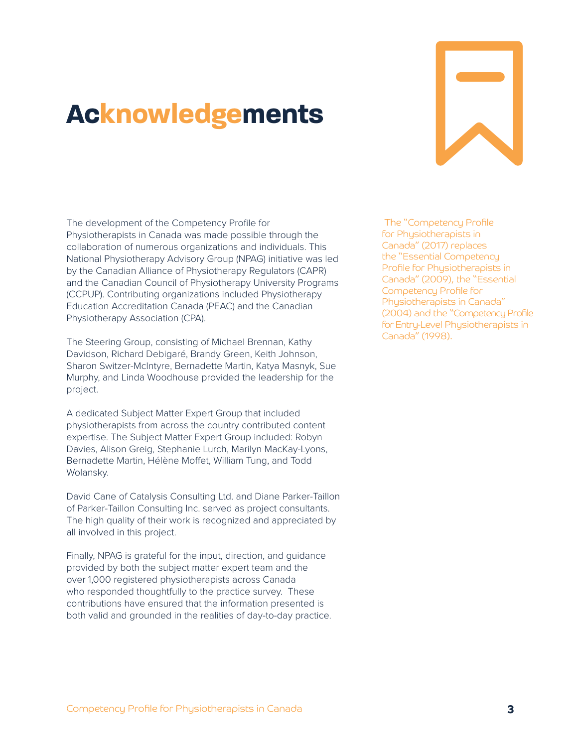## **Acknowledgements**



The development of the Competency Profile for Physiotherapists in Canada was made possible through the collaboration of numerous organizations and individuals. This National Physiotherapy Advisory Group (NPAG) initiative was led by the Canadian Alliance of Physiotherapy Regulators (CAPR) and the Canadian Council of Physiotherapy University Programs (CCPUP). Contributing organizations included Physiotherapy Education Accreditation Canada (PEAC) and the Canadian Physiotherapy Association (CPA).

The Steering Group, consisting of Michael Brennan, Kathy Davidson, Richard Debigaré, Brandy Green, Keith Johnson, Sharon Switzer-McIntyre, Bernadette Martin, Katya Masnyk, Sue Murphy, and Linda Woodhouse provided the leadership for the project.

A dedicated Subject Matter Expert Group that included physiotherapists from across the country contributed content expertise. The Subject Matter Expert Group included: Robyn Davies, Alison Greig, Stephanie Lurch, Marilyn MacKay-Lyons, Bernadette Martin, Hélène Moffet, William Tung, and Todd Wolansky.

David Cane of Catalysis Consulting Ltd. and Diane Parker-Taillon of Parker-Taillon Consulting Inc. served as project consultants. The high quality of their work is recognized and appreciated by all involved in this project.

Finally, NPAG is grateful for the input, direction, and guidance provided by both the subject matter expert team and the over 1,000 registered physiotherapists across Canada who responded thoughtfully to the practice survey. These contributions have ensured that the information presented is both valid and grounded in the realities of day-to-day practice.

 The "Competency Profile for Physiotherapists in Canada" (2017) replaces the "Essential Competency Profile for Physiotherapists in Canada" (2009), the "Essential Competency Profile for Physiotherapists in Canada" (2004) and the "Competency Profile for Entry-Level Physiotherapists in Canada" (1998).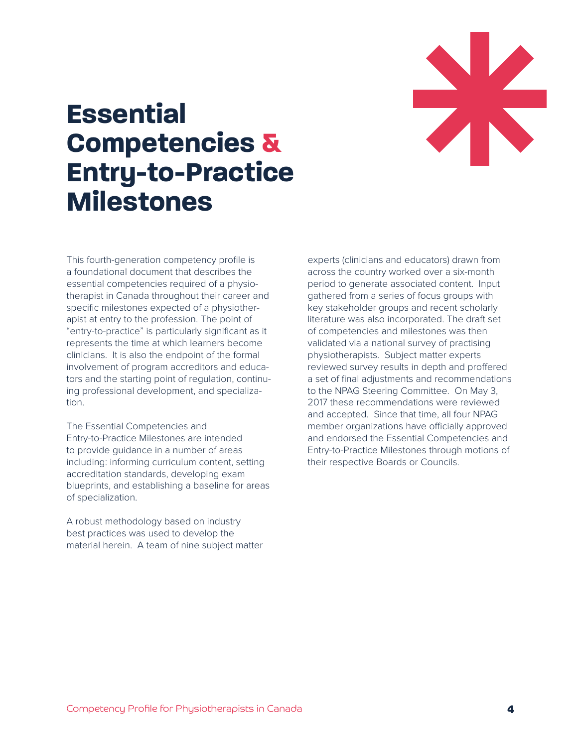

## **Essential Competencies & Entry-to-Practice Milestones**

This fourth-generation competency profile is a foundational document that describes the essential competencies required of a physiotherapist in Canada throughout their career and specific milestones expected of a physiotherapist at entry to the profession. The point of "entry-to-practice" is particularly significant as it represents the time at which learners become clinicians. It is also the endpoint of the formal involvement of program accreditors and educators and the starting point of regulation, continuing professional development, and specialization.

The Essential Competencies and Entry-to-Practice Milestones are intended to provide guidance in a number of areas including: informing curriculum content, setting accreditation standards, developing exam blueprints, and establishing a baseline for areas of specialization.

A robust methodology based on industry best practices was used to develop the material herein. A team of nine subject matter

experts (clinicians and educators) drawn from across the country worked over a six-month period to generate associated content. Input gathered from a series of focus groups with key stakeholder groups and recent scholarly literature was also incorporated. The draft set of competencies and milestones was then validated via a national survey of practising physiotherapists. Subject matter experts reviewed survey results in depth and proffered a set of final adjustments and recommendations to the NPAG Steering Committee. On May 3, 2017 these recommendations were reviewed and accepted. Since that time, all four NPAG member organizations have officially approved and endorsed the Essential Competencies and Entry-to-Practice Milestones through motions of their respective Boards or Councils.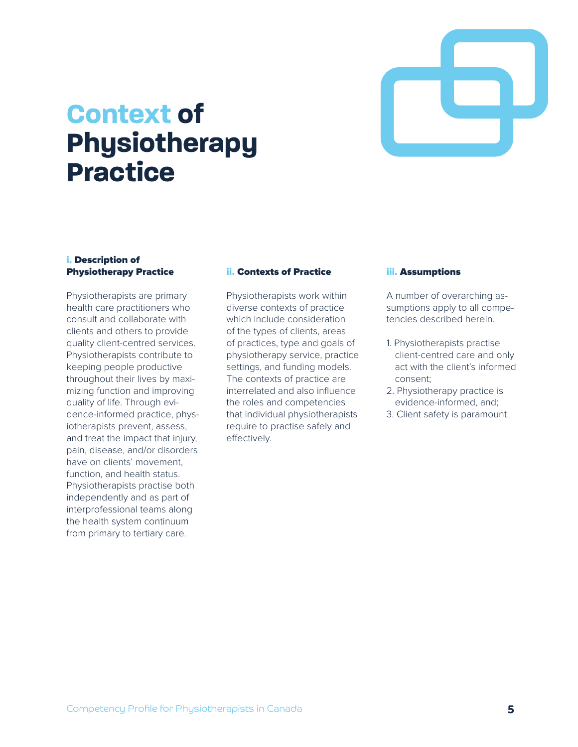

## **Context of Physiotherapy Practice**

#### i. Description of Physiotherapy Practice

Physiotherapists are primary health care practitioners who consult and collaborate with clients and others to provide quality client-centred services. Physiotherapists contribute to keeping people productive throughout their lives by maximizing function and improving quality of life. Through evidence-informed practice, physiotherapists prevent, assess, and treat the impact that injury, pain, disease, and/or disorders have on clients' movement, function, and health status. Physiotherapists practise both independently and as part of interprofessional teams along the health system continuum from primary to tertiary care.

#### ii. Contexts of Practice

Physiotherapists work within diverse contexts of practice which include consideration of the types of clients, areas of practices, type and goals of physiotherapy service, practice settings, and funding models. The contexts of practice are interrelated and also influence the roles and competencies that individual physiotherapists require to practise safely and effectively.

#### iii. Assumptions

A number of overarching assumptions apply to all competencies described herein.

- 1. Physiotherapists practise client-centred care and only act with the client's informed consent;
- 2. Physiotherapy practice is evidence-informed, and;
- 3. Client safety is paramount.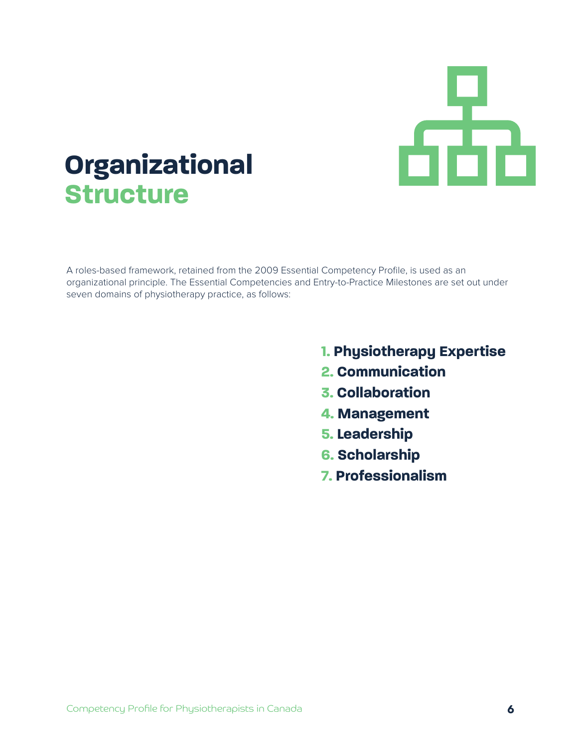

## **Organizational Structure**

A roles-based framework, retained from the 2009 Essential Competency Profile, is used as an organizational principle. The Essential Competencies and Entry-to-Practice Milestones are set out under seven domains of physiotherapy practice, as follows:

- **1. Physiotherapy Expertise**
- **2. Communication**
- **3. Collaboration**
- **4. Management**
- **5. Leadership**
- **6. Scholarship**
- **7. Professionalism**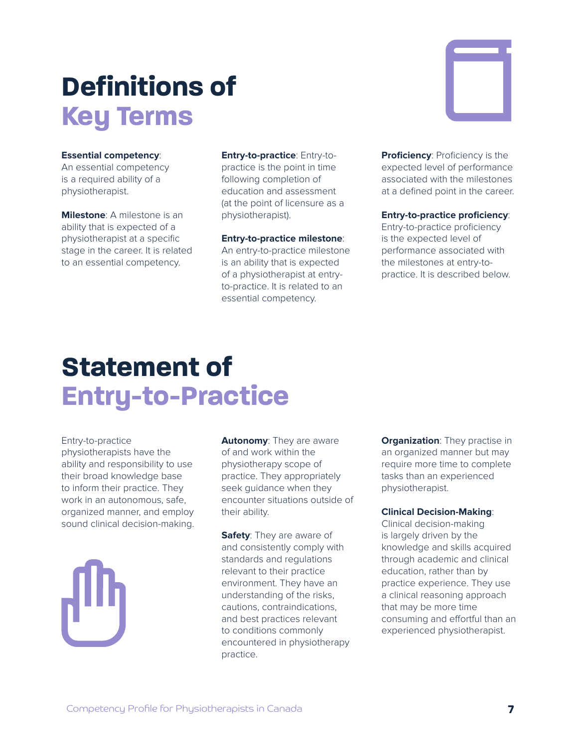# **Definitions of Key Terms**

#### **Essential competency**:

An essential competency is a required ability of a physiotherapist.

**Milestone**: A milestone is an ability that is expected of a physiotherapist at a specific stage in the career. It is related to an essential competency.

**Entry-to-practice**: Entry-topractice is the point in time following completion of education and assessment (at the point of licensure as a physiotherapist).

#### **Entry-to-practice milestone**:

An entry-to-practice milestone is an ability that is expected of a physiotherapist at entryto-practice. It is related to an essential competency.

**Proficiency: Proficiency is the** expected level of performance associated with the milestones at a defined point in the career.

#### **Entry-to-practice proficiency**:

Entry-to-practice proficiency is the expected level of performance associated with the milestones at entry-topractice. It is described below.

## **Statement of Entry-to-Practice**

Entry-to-practice physiotherapists have the ability and responsibility to use their broad knowledge base to inform their practice. They work in an autonomous, safe, organized manner, and employ sound clinical decision-making.

**Autonomy**: They are aware of and work within the physiotherapy scope of practice. They appropriately seek guidance when they encounter situations outside of their ability.

**Safety**: They are aware of and consistently comply with standards and regulations relevant to their practice environment. They have an understanding of the risks, cautions, contraindications, and best practices relevant to conditions commonly encountered in physiotherapy practice.

**Organization:** They practise in an organized manner but may require more time to complete tasks than an experienced physiotherapist.

#### **Clinical Decision-Making**:

Clinical decision-making is largely driven by the knowledge and skills acquired through academic and clinical education, rather than by practice experience. They use a clinical reasoning approach that may be more time consuming and effortful than an experienced physiotherapist.

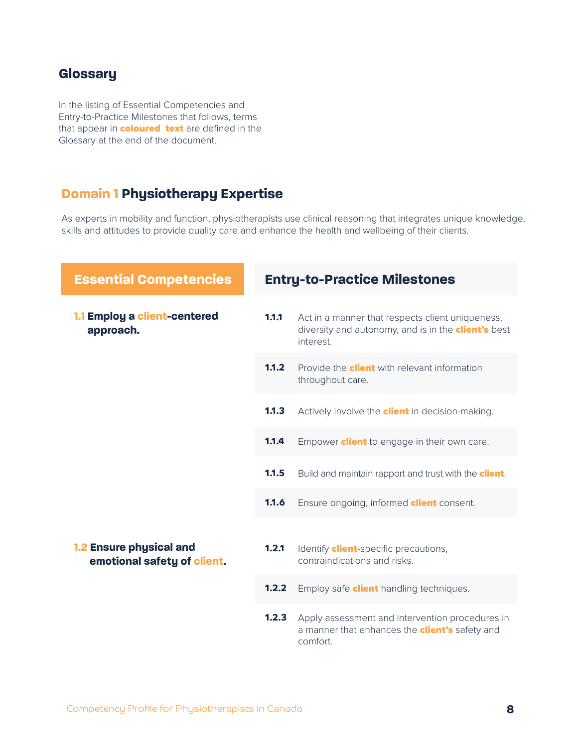#### **Glossary**

In the listing of Essential Competencies and Entry-to-Practice Milestones that follows, terms that appear in **coloured text** are defined in the Glossary at the end of the document.

#### **Domain 1 Physiotherapy Expertise**

As experts in mobility and function, physiotherapists use clinical reasoning that integrates unique knowledge, skills and attitudes to provide quality care and enhance the health and wellbeing of their clients.

| <b>Essential Competencies</b>                          |       | <b>Entry-to-Practice Milestones</b>                                                                                         |  |
|--------------------------------------------------------|-------|-----------------------------------------------------------------------------------------------------------------------------|--|
| 1.1 Employ a client-centered<br>approach.              | 1.1.1 | Act in a manner that respects client uniqueness,<br>diversity and autonomy, and is in the <b>client's</b> best<br>interest. |  |
|                                                        | 1.1.2 | Provide the <b>client</b> with relevant information<br>throughout care.                                                     |  |
|                                                        | 1.1.3 | Actively involve the <b>client</b> in decision-making.                                                                      |  |
|                                                        | 1.1.4 | Empower <b>client</b> to engage in their own care.                                                                          |  |
|                                                        | 1.1.5 | Build and maintain rapport and trust with the <b>client</b> .                                                               |  |
|                                                        | 1.1.6 | Ensure ongoing, informed <b>client</b> consent.                                                                             |  |
| 1.2 Ensure physical and<br>emotional safety of client. | 1.2.1 | Identify <b>client</b> -specific precautions,<br>contraindications and risks.                                               |  |
|                                                        | 1.2.2 | Employ safe <b>client</b> handling techniques.                                                                              |  |
|                                                        | 1.2.3 | Apply assessment and intervention procedures in<br>a manner that enhances the <b>client's</b> safety and<br>comfort.        |  |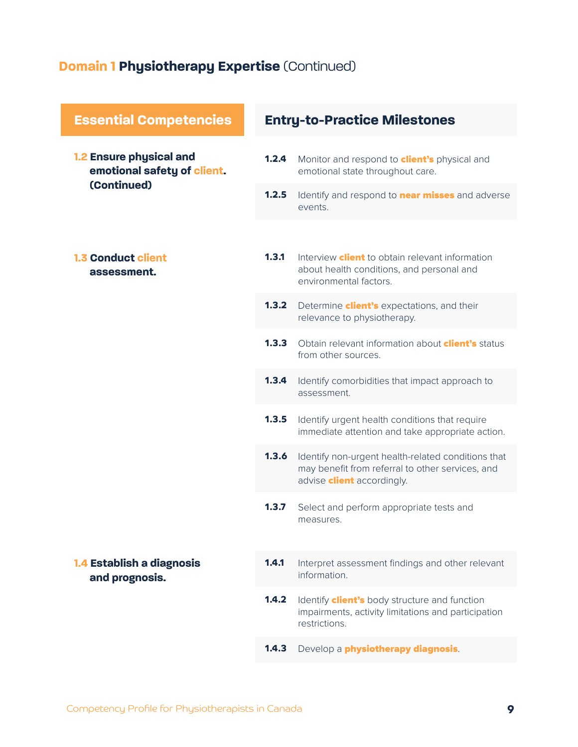### **Domain 1 Physiotherapy Expertise** (Continued)

| <b>Essential Competencies</b>                                                | <b>Entry-to-Practice Milestones</b> |                                                                                                                                             |
|------------------------------------------------------------------------------|-------------------------------------|---------------------------------------------------------------------------------------------------------------------------------------------|
| <b>1.2 Ensure physical and</b><br>emotional safety of client.<br>(Continued) | 1.2.4                               | Monitor and respond to <b>client's</b> physical and<br>emotional state throughout care.                                                     |
|                                                                              | 1.2.5                               | Identify and respond to <b>near misses</b> and adverse<br>events.                                                                           |
| <b>1.3 Conduct client</b><br>assessment.                                     | 1.3.1                               | Interview <b>client</b> to obtain relevant information<br>about health conditions, and personal and                                         |
|                                                                              | 1.3.2                               | environmental factors.<br>Determine <b>client's</b> expectations, and their<br>relevance to physiotherapy.                                  |
|                                                                              | 1.3.3                               | Obtain relevant information about <b>client's</b> status<br>from other sources.                                                             |
|                                                                              | 1.3.4                               | Identify comorbidities that impact approach to<br>assessment.                                                                               |
|                                                                              | 1.3.5                               | Identify urgent health conditions that require<br>immediate attention and take appropriate action.                                          |
|                                                                              | 1.3.6                               | Identify non-urgent health-related conditions that<br>may benefit from referral to other services, and<br>advise <b>client</b> accordingly. |
|                                                                              | 1.3.7                               | Select and perform appropriate tests and<br>measures.                                                                                       |
| 1.4 Establish a diagnosis<br>and prognosis.                                  | 1.4.1                               | Interpret assessment findings and other relevant<br>information                                                                             |
|                                                                              | 1.4.2                               | Identify <b>client's</b> body structure and function<br>impairments, activity limitations and participation<br>restrictions.                |
|                                                                              | 1.4.3                               | Develop a <i>physiotherapy diagnosis</i> .                                                                                                  |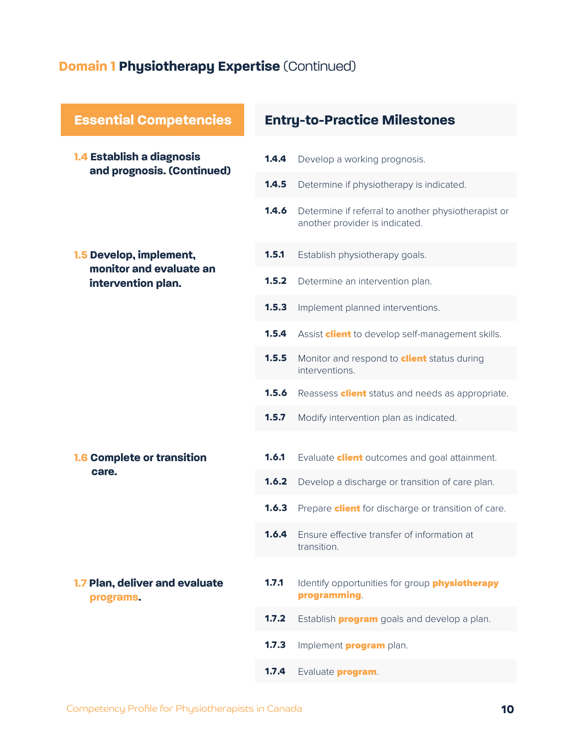### **Domain 1 Physiotherapy Expertise** (Continued)

| <b>Essential Competencies</b>                           | <b>Entry-to-Practice Milestones</b> |                                                                                       |
|---------------------------------------------------------|-------------------------------------|---------------------------------------------------------------------------------------|
| 1.4 Establish a diagnosis<br>and prognosis. (Continued) | 1.4.4                               | Develop a working prognosis.                                                          |
|                                                         | 1.4.5                               | Determine if physiotherapy is indicated.                                              |
|                                                         | 1.4.6                               | Determine if referral to another physiotherapist or<br>another provider is indicated. |
| 1.5 Develop, implement,<br>monitor and evaluate an      | 1.5.1                               | Establish physiotherapy goals.                                                        |
| intervention plan.                                      | 1.5.2                               | Determine an intervention plan.                                                       |
|                                                         | 1.5.3                               | Implement planned interventions.                                                      |
|                                                         | 1.5.4                               | Assist <b>client</b> to develop self-management skills.                               |
|                                                         | 1.5.5                               | Monitor and respond to <b>client</b> status during<br>interventions.                  |
|                                                         | 1.5.6                               | Reassess <b>client</b> status and needs as appropriate.                               |
|                                                         | 1.5.7                               | Modify intervention plan as indicated.                                                |
| <b>1.6 Complete or transition</b>                       | 1.6.1                               | Evaluate <b>client</b> outcomes and goal attainment.                                  |
| care.                                                   | 1.6.2                               | Develop a discharge or transition of care plan.                                       |
|                                                         | 1.6.3                               | Prepare <b>client</b> for discharge or transition of care.                            |
|                                                         | 1.6.4                               | Ensure effective transfer of information at<br>transition.                            |
| 1.7 Plan, deliver and evaluate<br>programs.             | 1.7.1                               | Identify opportunities for group physiotherapy<br>programming.                        |
|                                                         | 1.7.2                               | Establish <b>program</b> goals and develop a plan.                                    |
|                                                         | 1.7.3                               | Implement <b>program</b> plan.                                                        |
|                                                         | 1.7.4                               | Evaluate <b>program</b> .                                                             |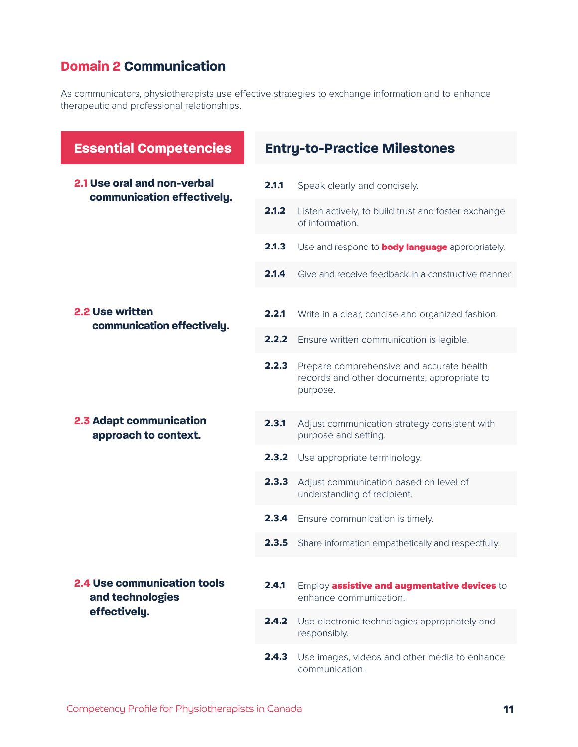### **Domain 2 Communication**

As communicators, physiotherapists use effective strategies to exchange information and to enhance therapeutic and professional relationships.

| <b>Essential Competencies</b>                          |       | <b>Entry-to-Practice Milestones</b>                                                                  |
|--------------------------------------------------------|-------|------------------------------------------------------------------------------------------------------|
| 2.1 Use oral and non-verbal                            | 2.1.1 | Speak clearly and concisely.                                                                         |
| communication effectively.                             | 2.1.2 | Listen actively, to build trust and foster exchange<br>of information.                               |
|                                                        | 2.1.3 | Use and respond to <b>body language</b> appropriately.                                               |
|                                                        | 2.1.4 | Give and receive feedback in a constructive manner.                                                  |
| 2.2 Use written<br>communication effectively.          | 2.2.1 | Write in a clear, concise and organized fashion.                                                     |
|                                                        | 2.2.2 | Ensure written communication is legible.                                                             |
|                                                        | 2.2.3 | Prepare comprehensive and accurate health<br>records and other documents, appropriate to<br>purpose. |
| 2.3 Adapt communication<br>approach to context.        | 2.3.1 | Adjust communication strategy consistent with<br>purpose and setting.                                |
|                                                        | 2.3.2 | Use appropriate terminology.                                                                         |
|                                                        | 2.3.3 | Adjust communication based on level of<br>understanding of recipient.                                |
|                                                        | 2.3.4 | Ensure communication is timely.                                                                      |
|                                                        | 2.3.5 | Share information empathetically and respectfully.                                                   |
| <b>2.4 Use communication tools</b><br>and technologies | 2.4.1 | Employ assistive and augmentative devices to<br>enhance communication.                               |
| effectively.                                           | 2.4.2 | Use electronic technologies appropriately and<br>responsibly.                                        |
|                                                        | 2.4.3 | Use images, videos and other media to enhance<br>communication.                                      |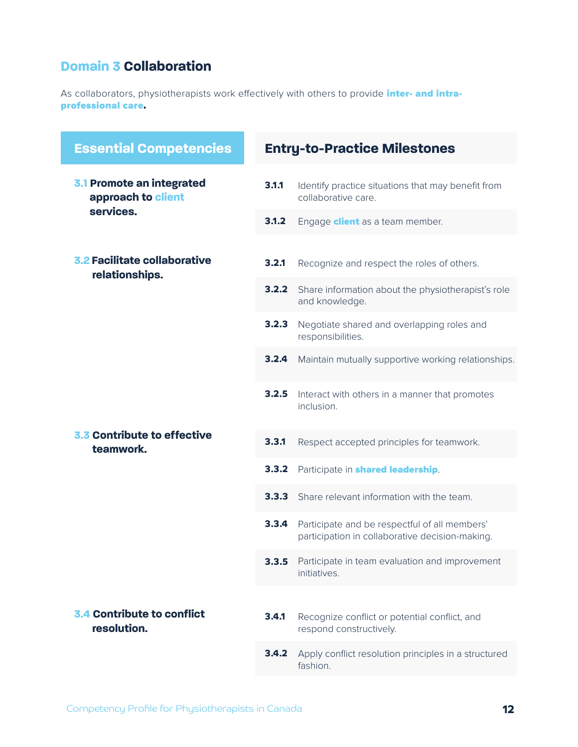#### **Domain 3 Collaboration**

As collaborators, physiotherapists work effectively with others to provide *inter- and intra*professional care.

| <b>Essential Competencies</b>                                | <b>Entry-to-Practice Milestones</b> |                                                                                                  |
|--------------------------------------------------------------|-------------------------------------|--------------------------------------------------------------------------------------------------|
| 3.1 Promote an integrated<br>approach to client<br>services. | 3.1.1                               | Identify practice situations that may benefit from<br>collaborative care.                        |
|                                                              | 3.1.2                               | Engage <b>client</b> as a team member.                                                           |
| 3.2 Facilitate collaborative<br>relationships.               | 3.2.1                               | Recognize and respect the roles of others.                                                       |
|                                                              | 3.2.2                               | Share information about the physiotherapist's role<br>and knowledge.                             |
|                                                              | 3.2.3                               | Negotiate shared and overlapping roles and<br>responsibilities.                                  |
|                                                              | 3.2.4                               | Maintain mutually supportive working relationships.                                              |
|                                                              | 3.2.5                               | Interact with others in a manner that promotes<br>inclusion.                                     |
| 3.3 Contribute to effective<br>teamwork.                     | 3.3.1                               | Respect accepted principles for teamwork.                                                        |
|                                                              | 3.3.2                               | Participate in <b>shared leadership</b> .                                                        |
|                                                              | 3.3.3                               | Share relevant information with the team.                                                        |
|                                                              | 3.3.4                               | Participate and be respectful of all members'<br>participation in collaborative decision-making. |
|                                                              | 3.3.5                               | Participate in team evaluation and improvement<br>initiatives.                                   |
|                                                              |                                     |                                                                                                  |
| 3.4 Contribute to conflict<br>resolution.                    | 3.4.1                               | Recognize conflict or potential conflict, and<br>respond constructively.                         |
|                                                              | 3.4.2                               | Apply conflict resolution principles in a structured<br>fashion.                                 |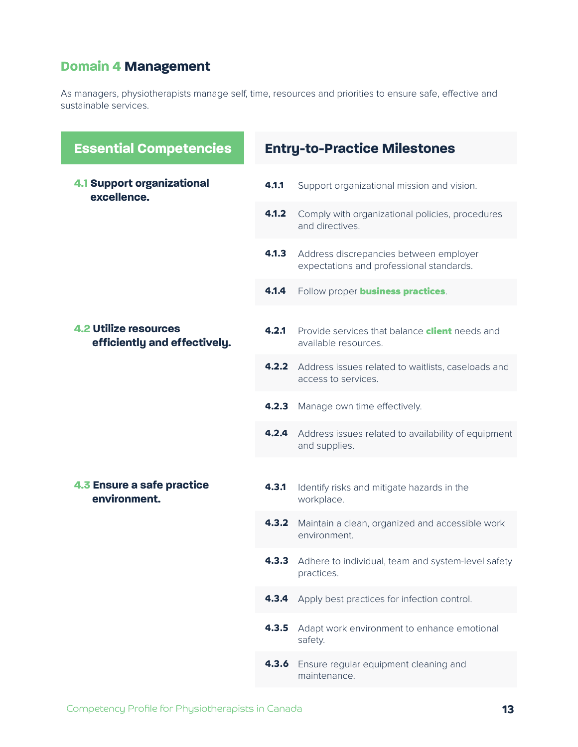### **Domain 4 Management**

As managers, physiotherapists manage self, time, resources and priorities to ensure safe, effective and sustainable services.

| <b>Essential Competencies</b>                                |       | <b>Entry-to-Practice Milestones</b>                                                |
|--------------------------------------------------------------|-------|------------------------------------------------------------------------------------|
| <b>4.1 Support organizational</b><br>excellence.             | 4.1.1 | Support organizational mission and vision.                                         |
|                                                              | 4.1.2 | Comply with organizational policies, procedures<br>and directives.                 |
|                                                              | 4.1.3 | Address discrepancies between employer<br>expectations and professional standards. |
|                                                              | 4.1.4 | Follow proper <b>business practices</b> .                                          |
| <b>4.2 Utilize resources</b><br>efficiently and effectively. | 4.2.1 | Provide services that balance <b>client</b> needs and<br>available resources.      |
|                                                              | 4.2.2 | Address issues related to waitlists, caseloads and<br>access to services.          |
|                                                              | 4.2.3 | Manage own time effectively.                                                       |
|                                                              | 4.2.4 | Address issues related to availability of equipment<br>and supplies.               |
|                                                              |       |                                                                                    |
| 4.3 Ensure a safe practice<br>environment.                   | 4.3.1 | Identify risks and mitigate hazards in the<br>workplace.                           |
|                                                              | 4.3.2 | Maintain a clean, organized and accessible work<br>environment.                    |
|                                                              | 4.3.3 | Adhere to individual, team and system-level safety<br>practices.                   |
|                                                              | 4.3.4 | Apply best practices for infection control.                                        |
|                                                              | 4.3.5 | Adapt work environment to enhance emotional<br>safety.                             |
|                                                              | 4.3.6 | Ensure regular equipment cleaning and<br>maintenance.                              |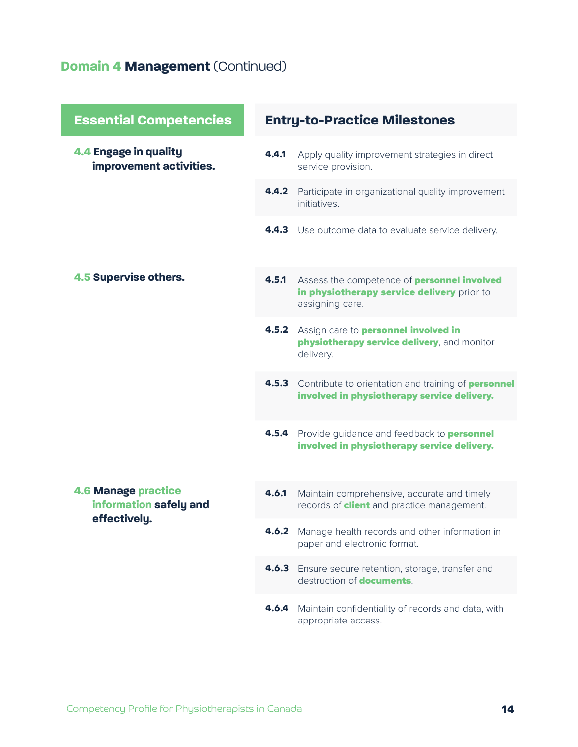### **Domain 4 Management** (Continued)

| <b>Essential Competencies</b>                        | <b>Entry-to-Practice Milestones</b> |                                                                                                                     |
|------------------------------------------------------|-------------------------------------|---------------------------------------------------------------------------------------------------------------------|
| 4.4 Engage in quality<br>improvement activities.     | 4.4.1                               | Apply quality improvement strategies in direct<br>service provision.                                                |
|                                                      | 4.4.2                               | Participate in organizational quality improvement<br><i>initiatives</i>                                             |
|                                                      | 4.4.3                               | Use outcome data to evaluate service delivery.                                                                      |
| 4.5 Supervise others.                                | 4.5.1                               | Assess the competence of <b>personnel involved</b><br>in physiotherapy service delivery prior to<br>assigning care. |
|                                                      | 4.5.2                               | Assign care to <b>personnel involved in</b><br>physiotherapy service delivery, and monitor<br>delivery.             |
|                                                      | 4.5.3                               | Contribute to orientation and training of personnel<br>involved in physiotherapy service delivery.                  |
|                                                      | 4.5.4                               | Provide guidance and feedback to <b>personnel</b><br>involved in physiotherapy service delivery.                    |
| <b>4.6 Manage practice</b><br>information safely and | 4.6.1                               | Maintain comprehensive, accurate and timely<br>records of <b>client</b> and practice management.                    |
| effectively.                                         | 4.6.2                               | Manage health records and other information in<br>paper and electronic format.                                      |
|                                                      | 4.6.3                               | Ensure secure retention, storage, transfer and<br>destruction of <b>documents</b> .                                 |
|                                                      | 4.6.4                               | Maintain confidentiality of records and data, with<br>appropriate access.                                           |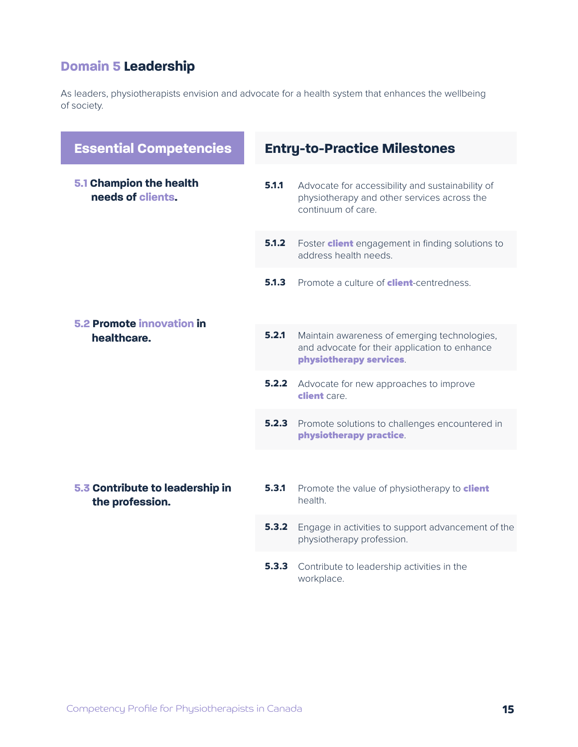### **Domain 5 Leadership**

As leaders, physiotherapists envision and advocate for a health system that enhances the wellbeing of society.

| <b>Essential Competencies</b>                      | <b>Entry-to-Practice Milestones</b> |                                                                                                                          |
|----------------------------------------------------|-------------------------------------|--------------------------------------------------------------------------------------------------------------------------|
| 5.1 Champion the health<br>needs of clients.       | 5.1.1                               | Advocate for accessibility and sustainability of<br>physiotherapy and other services across the<br>continuum of care.    |
|                                                    | 5.1.2                               | Foster <b>client</b> engagement in finding solutions to<br>address health needs.                                         |
|                                                    | 5.1.3                               | Promote a culture of <b>client</b> -centredness.                                                                         |
| <b>5.2 Promote innovation in</b><br>healthcare.    | 5.2.1                               | Maintain awareness of emerging technologies,<br>and advocate for their application to enhance<br>physiotherapy services. |
|                                                    | 5.2.2                               | Advocate for new approaches to improve<br>client care                                                                    |
|                                                    | 5.2.3                               | Promote solutions to challenges encountered in<br>physiotherapy practice.                                                |
|                                                    |                                     |                                                                                                                          |
| 5.3 Contribute to leadership in<br>the profession. | 5.3.1                               | Promote the value of physiotherapy to client<br>health.                                                                  |
|                                                    | 5.3.2                               | Engage in activities to support advancement of the<br>physiotherapy profession.                                          |
|                                                    | 5.3.3                               | Contribute to leadership activities in the<br>workplace.                                                                 |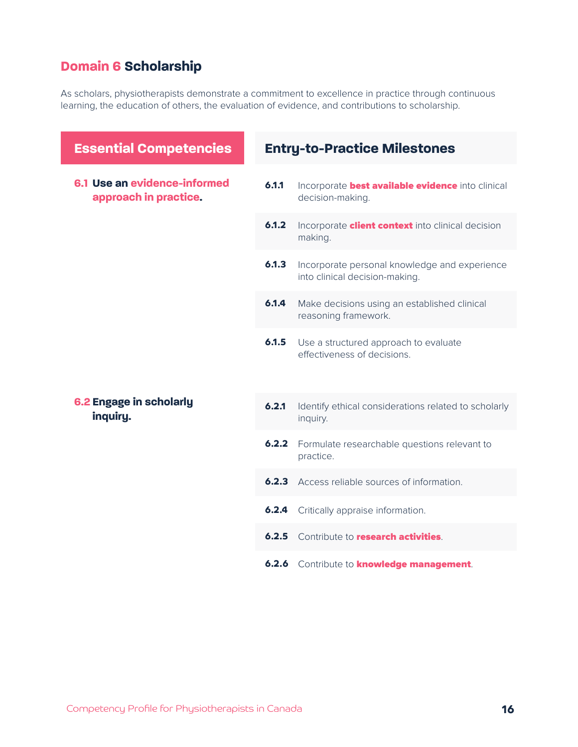### **Domain 6 Scholarship**

As scholars, physiotherapists demonstrate a commitment to excellence in practice through continuous learning, the education of others, the evaluation of evidence, and contributions to scholarship.

| <b>Essential Competencies</b>                         | <b>Entry-to-Practice Milestones</b> |                                                                                 |
|-------------------------------------------------------|-------------------------------------|---------------------------------------------------------------------------------|
| 6.1 Use an evidence-informed<br>approach in practice. | 6.1.1                               | Incorporate best available evidence into clinical<br>decision-making.           |
|                                                       | 6.1.2                               | Incorporate <b>client context</b> into clinical decision<br>making.             |
|                                                       | 6.1.3                               | Incorporate personal knowledge and experience<br>into clinical decision-making. |
|                                                       | 6.1.4                               | Make decisions using an established clinical<br>reasoning framework.            |
|                                                       | 6.1.5                               | Use a structured approach to evaluate<br>effectiveness of decisions.            |
| 6.2 Engage in scholarly<br>inquiry.                   | 6.2.1                               | Identify ethical considerations related to scholarly<br>inquiry.                |
|                                                       | 6.2.2                               | Formulate researchable questions relevant to<br>practice.                       |
|                                                       | 6.2.3                               | Access reliable sources of information.                                         |
|                                                       | 6.2.4                               | Critically appraise information.                                                |
|                                                       | 6.2.5                               | Contribute to <b>research activities</b> .                                      |
|                                                       |                                     | <b>6.2.6</b> Contribute to <b>knowledge management</b> .                        |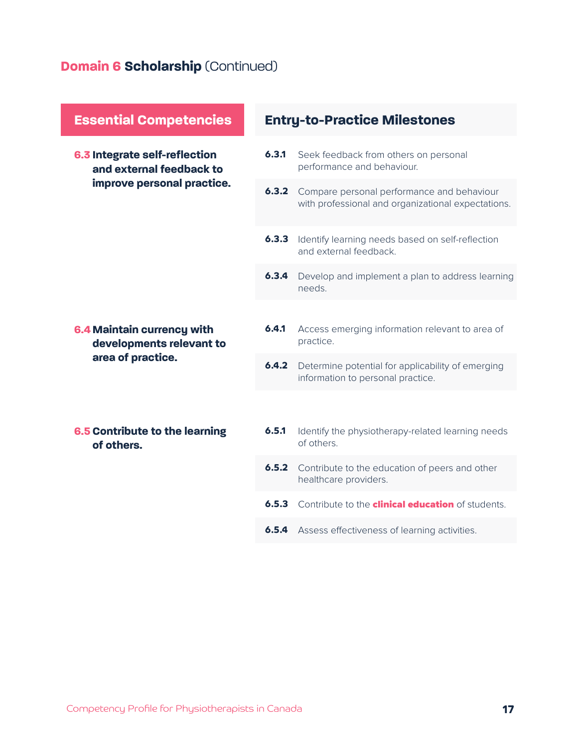## **Domain 6 Scholarship** (Continued)

| <b>Essential Competencies</b>                                               | <b>Entry-to-Practice Milestones</b> |                                                                                                  |  |
|-----------------------------------------------------------------------------|-------------------------------------|--------------------------------------------------------------------------------------------------|--|
| 6.3 Integrate self-reflection<br>and external feedback to                   | 6.3.1                               | Seek feedback from others on personal<br>performance and behaviour.                              |  |
| improve personal practice.                                                  | 6.3.2                               | Compare personal performance and behaviour<br>with professional and organizational expectations. |  |
|                                                                             | 6.3.3                               | Identify learning needs based on self-reflection<br>and external feedback.                       |  |
|                                                                             | 6.3.4                               | Develop and implement a plan to address learning<br>needs.                                       |  |
|                                                                             |                                     |                                                                                                  |  |
| 6.4 Maintain currency with<br>developments relevant to<br>area of practice. | 6.4.1                               | Access emerging information relevant to area of<br>practice.                                     |  |
|                                                                             | 6.4.2                               | Determine potential for applicability of emerging<br>information to personal practice.           |  |
|                                                                             |                                     |                                                                                                  |  |
| 6.5 Contribute to the learning<br>of others.                                | 6.5.1                               | Identify the physiotherapy-related learning needs<br>of others.                                  |  |
|                                                                             | 6.5.2                               | Contribute to the education of peers and other<br>healthcare providers.                          |  |
|                                                                             | 6.5.3                               | Contribute to the <b>clinical education</b> of students.                                         |  |
|                                                                             | 6.5.4                               | Assess effectiveness of learning activities.                                                     |  |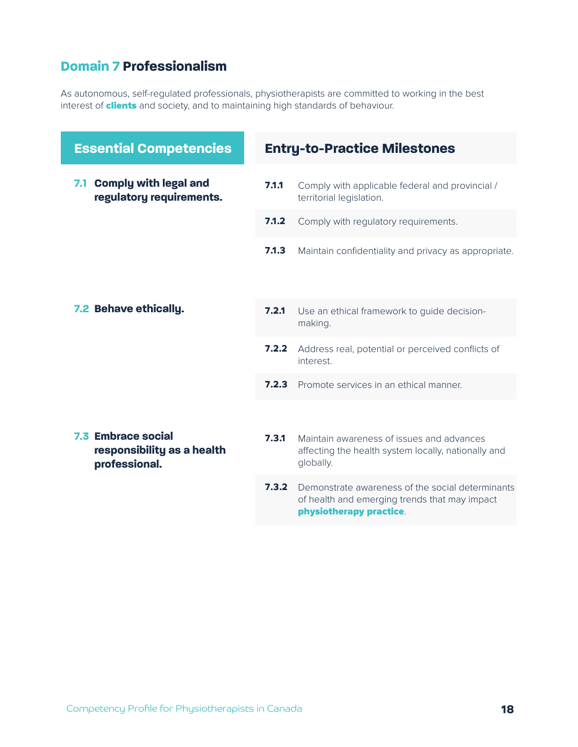#### **Domain 7 Professionalism**

As autonomous, self-regulated professionals, physiotherapists are committed to working in the best interest of **clients** and society, and to maintaining high standards of behaviour.

| <b>Essential Competencies</b>                                            | <b>Entry-to-Practice Milestones</b> |                                                                                                                              |
|--------------------------------------------------------------------------|-------------------------------------|------------------------------------------------------------------------------------------------------------------------------|
| 7.1 Comply with legal and<br>regulatory requirements.                    | 7.1.1                               | Comply with applicable federal and provincial /<br>territorial legislation.                                                  |
|                                                                          | 7.1.2                               | Comply with regulatory requirements.                                                                                         |
|                                                                          | 7.1.3                               | Maintain confidentiality and privacy as appropriate.                                                                         |
| 7.2 Behave ethically.                                                    | 7.2.1                               | Use an ethical framework to guide decision-<br>making.                                                                       |
|                                                                          | 7.2.2                               | Address real, potential or perceived conflicts of<br>interest.                                                               |
|                                                                          | 7.2.3                               | Promote services in an ethical manner.                                                                                       |
| <b>7.3 Embrace social</b><br>responsibility as a health<br>professional. | 7.3.1                               | Maintain awareness of issues and advances<br>affecting the health system locally, nationally and<br>globally.                |
|                                                                          | 7.3.2                               | Demonstrate awareness of the social determinants<br>of health and emerging trends that may impact<br>physiotherapy practice. |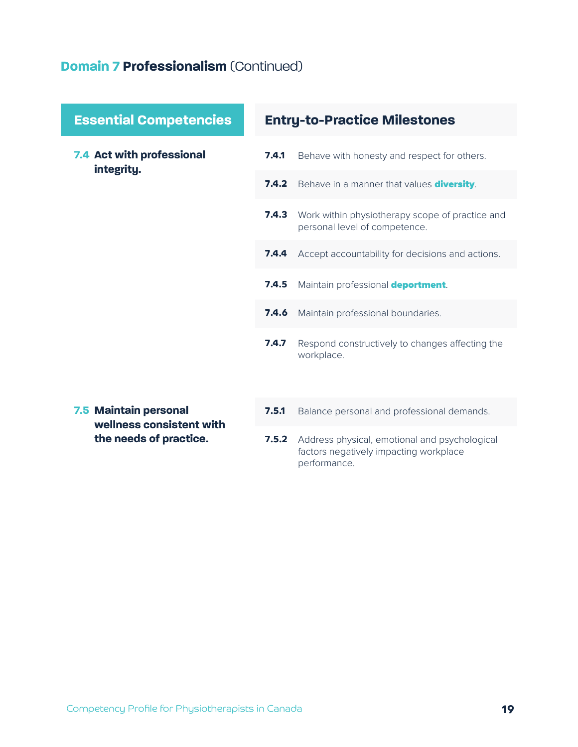#### **Domain 7 Professionalism** (Continued)

**7.4 Act with professional integrity.**

#### **Essential Competencies Entry-to-Practice Milestones**

- Behave with honesty and respect for others. **7.4.1**
- **7.4.2** Behave in a manner that values diversity.
- Work within physiotherapy scope of practice and personal level of competence. **7.4.3**
- **7.4.4** Accept accountability for decisions and actions.
- Maintain professional deportment. **7.4.5**
- Maintain professional boundaries. **7.4.6**
- Respond constructively to changes affecting the workplace. **7.4.7**
- **7.5 Maintain personal wellness consistent with the needs of practice.**
- Balance personal and professional demands. **7.5.1**
- **7.5.2** Address physical, emotional and psychological factors negatively impacting workplace performance.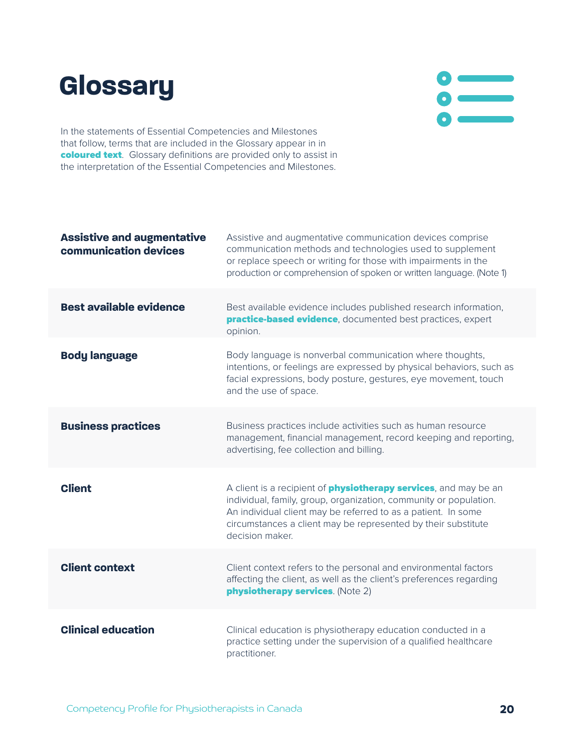## **Glossary**



In the statements of Essential Competencies and Milestones that follow, terms that are included in the Glossary appear in in coloured text. Glossary definitions are provided only to assist in the interpretation of the Essential Competencies and Milestones.

| <b>Assistive and augmentative</b><br>communication devices | Assistive and augmentative communication devices comprise<br>communication methods and technologies used to supplement<br>or replace speech or writing for those with impairments in the<br>production or comprehension of spoken or written language. (Note 1)                                    |
|------------------------------------------------------------|----------------------------------------------------------------------------------------------------------------------------------------------------------------------------------------------------------------------------------------------------------------------------------------------------|
| <b>Best available evidence</b>                             | Best available evidence includes published research information,<br><b>practice-based evidence</b> , documented best practices, expert<br>opinion.                                                                                                                                                 |
| <b>Body language</b>                                       | Body language is nonverbal communication where thoughts,<br>intentions, or feelings are expressed by physical behaviors, such as<br>facial expressions, body posture, gestures, eye movement, touch<br>and the use of space.                                                                       |
| <b>Business practices</b>                                  | Business practices include activities such as human resource<br>management, financial management, record keeping and reporting,<br>advertising, fee collection and billing.                                                                                                                        |
| <b>Client</b>                                              | A client is a recipient of <b>physiotherapy services</b> , and may be an<br>individual, family, group, organization, community or population.<br>An individual client may be referred to as a patient. In some<br>circumstances a client may be represented by their substitute<br>decision maker. |
| <b>Client context</b>                                      | Client context refers to the personal and environmental factors<br>affecting the client, as well as the client's preferences regarding<br>physiotherapy services. (Note 2)                                                                                                                         |
| <b>Clinical education</b>                                  | Clinical education is physiotherapy education conducted in a<br>practice setting under the supervision of a qualified healthcare<br>practitioner.                                                                                                                                                  |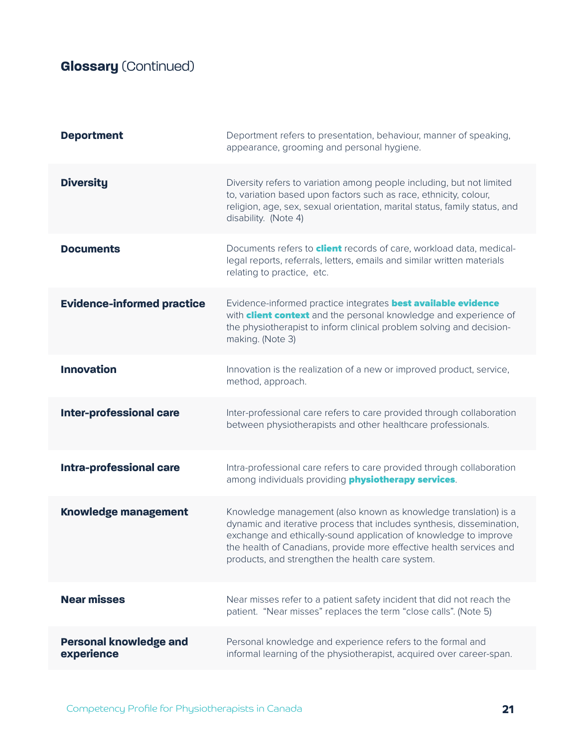## **Glossary** (Continued)

| <b>Deportment</b>                           | Deportment refers to presentation, behaviour, manner of speaking,<br>appearance, grooming and personal hygiene.                                                                                                                                                                                                                         |
|---------------------------------------------|-----------------------------------------------------------------------------------------------------------------------------------------------------------------------------------------------------------------------------------------------------------------------------------------------------------------------------------------|
| <b>Diversity</b>                            | Diversity refers to variation among people including, but not limited<br>to, variation based upon factors such as race, ethnicity, colour,<br>religion, age, sex, sexual orientation, marital status, family status, and<br>disability. (Note 4)                                                                                        |
| <b>Documents</b>                            | Documents refers to <b>client</b> records of care, workload data, medical-<br>legal reports, referrals, letters, emails and similar written materials<br>relating to practice, etc.                                                                                                                                                     |
| <b>Evidence-informed practice</b>           | Evidence-informed practice integrates <b>best available evidence</b><br>with <b>client context</b> and the personal knowledge and experience of<br>the physiotherapist to inform clinical problem solving and decision-<br>making. (Note 3)                                                                                             |
| <b>Innovation</b>                           | Innovation is the realization of a new or improved product, service,<br>method, approach.                                                                                                                                                                                                                                               |
| <b>Inter-professional care</b>              | Inter-professional care refers to care provided through collaboration<br>between physiotherapists and other healthcare professionals.                                                                                                                                                                                                   |
| <b>Intra-professional care</b>              | Intra-professional care refers to care provided through collaboration<br>among individuals providing <b>physiotherapy services</b> .                                                                                                                                                                                                    |
| <b>Knowledge management</b>                 | Knowledge management (also known as knowledge translation) is a<br>dynamic and iterative process that includes synthesis, dissemination,<br>exchange and ethically-sound application of knowledge to improve<br>the health of Canadians, provide more effective health services and<br>products, and strengthen the health care system. |
| <b>Near misses</b>                          | Near misses refer to a patient safety incident that did not reach the<br>patient. "Near misses" replaces the term "close calls". (Note 5)                                                                                                                                                                                               |
| <b>Personal knowledge and</b><br>experience | Personal knowledge and experience refers to the formal and<br>informal learning of the physiotherapist, acquired over career-span.                                                                                                                                                                                                      |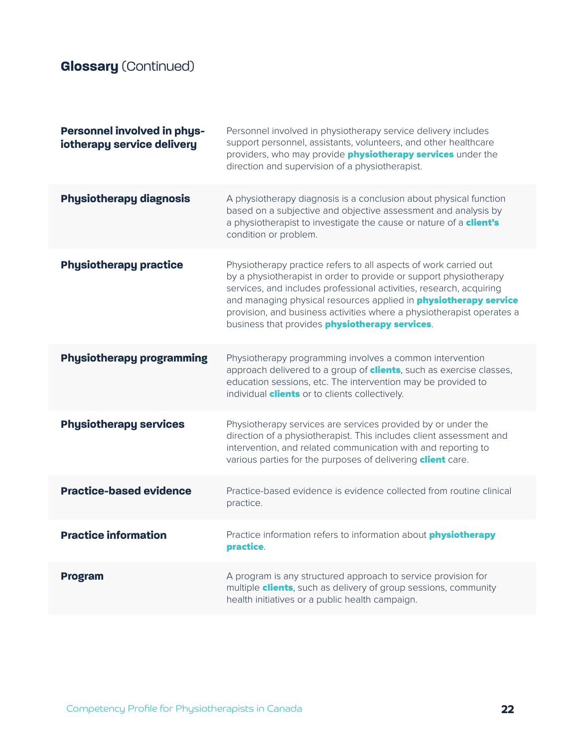## **Glossary** (Continued)

| <b>Personnel involved in phys-</b><br>iotherapy service delivery | Personnel involved in physiotherapy service delivery includes<br>support personnel, assistants, volunteers, and other healthcare<br>providers, who may provide <b>physiotherapy services</b> under the<br>direction and supervision of a physiotherapist.                                                                                                                                                                  |
|------------------------------------------------------------------|----------------------------------------------------------------------------------------------------------------------------------------------------------------------------------------------------------------------------------------------------------------------------------------------------------------------------------------------------------------------------------------------------------------------------|
| <b>Physiotherapy diagnosis</b>                                   | A physiotherapy diagnosis is a conclusion about physical function<br>based on a subjective and objective assessment and analysis by<br>a physiotherapist to investigate the cause or nature of a client's<br>condition or problem.                                                                                                                                                                                         |
| <b>Physiotherapy practice</b>                                    | Physiotherapy practice refers to all aspects of work carried out<br>by a physiotherapist in order to provide or support physiotherapy<br>services, and includes professional activities, research, acquiring<br>and managing physical resources applied in <b>physiotherapy service</b><br>provision, and business activities where a physiotherapist operates a<br>business that provides <b>physiotherapy services</b> . |
| <b>Physiotherapy programming</b>                                 | Physiotherapy programming involves a common intervention<br>approach delivered to a group of <b>clients</b> , such as exercise classes,<br>education sessions, etc. The intervention may be provided to<br>individual <b>clients</b> or to clients collectively.                                                                                                                                                           |
| <b>Physiotherapy services</b>                                    | Physiotherapy services are services provided by or under the<br>direction of a physiotherapist. This includes client assessment and<br>intervention, and related communication with and reporting to<br>various parties for the purposes of delivering <b>client</b> care.                                                                                                                                                 |
| <b>Practice-based evidence</b>                                   | Practice-based evidence is evidence collected from routine clinical<br>practice.                                                                                                                                                                                                                                                                                                                                           |
| <b>Practice information</b>                                      | Practice information refers to information about <i>physiotherapy</i><br>practice.                                                                                                                                                                                                                                                                                                                                         |
| <b>Program</b>                                                   | A program is any structured approach to service provision for<br>multiple <b>clients</b> , such as delivery of group sessions, community<br>health initiatives or a public health campaign.                                                                                                                                                                                                                                |